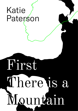# Katie Paterson

# **First** There is a Mountain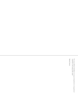*"In every outthrust headland, in every curving beach, in every grain of sand there is the story of the earth"*

Rachel Carson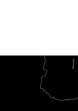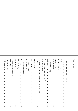# **Contents**

| They Came from the Sea - A Litany               |    |
|-------------------------------------------------|----|
|                                                 | 11 |
| Porthmeor Beach                                 |    |
|                                                 | 17 |
| Isles of Scilly                                 |    |
|                                                 | 21 |
| To Us for the Filling                           |    |
|                                                 | 25 |
| The point of the work is the work               |    |
|                                                 | 31 |
| Life Made the Mountain, the Mountain Came Alive |    |
|                                                 | 41 |
| A Beachfront View                               |    |
|                                                 | 47 |
| <b>Portstewart Strand</b>                       |    |
|                                                 | 53 |
| Mountains in Portobello                         |    |
|                                                 | 59 |
| A Vestibular System                             |    |
|                                                 | 69 |
| How to make your own hill                       |    |
|                                                 | 73 |
| Coll Beach Sutra                                |    |
|                                                 |    |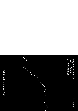*They Came from the Sea – A Litany* by Jeremy Millar

# March 31

Whitstable Biennale, Kent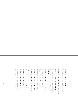They came from the sea, or so it seemed.

They came from the sea and were clothed, yes, but wet through.

They came from the sea and they came from the east,

from where we look to see from where we came.

They came from the sea and were without a thing.

They came from the sea and did not say why they came or why here.

They came from the sea and were carried on.

They came from the sea and were still.

They came from the sea but too early.

They came from the sea and ate slept drank.

They came from the sea and were barely there.

They came from the sea and were transformed.

They came from the sea and were beautiful.

They came from the sea and were illuminated.

They came from the sea and let go.

They came from the sea and then waited. They came from the sea and were not known.

They came from the sea and were in torment.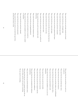They came from the sea and made sounds never heard. They came from the sea, a fortnight dead. They came from the sea and lived upon shells. They came from the sea and were consumed. They came from the sea and then gathered their bones. They came from the sea, waste and empty. They came from the sea but did not say what they had seen. They came from the sea but it was too late. They came from the sea and were alone. They came from the sea and were seen by no one and by all. They came from the sea and it was inside them still, still moving. They came from the sea and saw themselves there. They came from the sea and apprehended all. They came from the sea and reached out towards us. They came from the sea and reminded us of what we needed to remember. They came from the sea and were changed. They came from the sea and were possessed. They came from the sea and no one dared look upon them, and they did not dare to look.

They came from the sea and there is no end to it, no end to it.

They came from the sea and had many voices.

They came from the sea and were bound to.

They came from the sea and their bodies were still flooded.

They came from the sea and set themselves down.

They came from the sea and all shall be well.

They came from the sea and resembled no one, not even themselves.

They came from the sea and were invisible.

They came from the sea and were renewed.

They came from the sea and were tongued with fre.

They came from the sea and were indifferent.

They came from the sea and gathered the darkness around them.

They came from the sea and left themselves there.

They came from the sea, or so it seemed, but then the sea came for them, and for us all, and for everything.

The sea came for everything.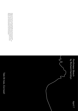*Porthmeor Beach* by Richard Hamblyn

Jeremy is an artist living in London and Ramsgate, and a senior tutor at the Royal College of Art, London. He has exhibited widely nationally and internationally — most recently in Paris and Venice — and has written for numerous publications. His film XDO XOL, commissioned for the 2014 Whitstable Biennale, was shot on the Isle of Sheppey, close to where Katie Paterson's work will be presented.

Tate St Ives, Cornwall

April 7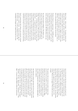Before I begin – before *we* begin – I'm going to dig into the sand with both my hands, and then stand slowly up, with a miniature mountain cupped in front of me. And then I'm going to adjust my palms, ever so slightly, to release a slow, sandy trickle that will hourglass this fow of geophysical refections, reversing time for a minute or two, or three, or four, as the grains fall like charms onto the beach.

Porthmeor Beach is a magical space, 110,000 square metres of fragmented carbonate material (that's "sand" to you and me), bracketed like a pair of claws by ancient headlands of dolerite and gabbro: dark, intrusive rocks formed from slowly cooling magma some 300-400 million years ago.

On a map, the eastern headland ("The Island") is an old man's head, Smeaton's Pier his straggly beard, his prominent nose dribbling into St Ives Bay, St Nicholas Chapel whispering in his ear. Much of the shoreline of St Ives Bay – in Cornish: *Cammas an Tewyn:* "the bay of the sand dunes" – is carpeted by the wave-fragmented shell casings of billions of long-dead marine creatures, broken up and driven ashore as particles of sand by the ceaseless Atlantic swells. Pick up a handful of Cornish sand and you commune with the ghosts of ten thousand lives lost at sea. Like the Sybil of Greek mythology, who was granted her terrifying wish of a year of life for every grain of sand she could hold in her hand, we too are gazing upon immortality.

Sand is mesmerising: both ordinary and enchanted, intimate and infnite, a marker of time – the three-minute egg: the fve-minute essay – as well as of infnities of scale. The cosmologist Carl Sagan once claimed that there are more

stars in the universe than there are grains of sand on all of Earth's beaches, a claim that was dismissed at the time as hyperbole, but which now appears, astonishingly, to be true. The thought recalls a childhood memory of writing my name and address on my school-bag: "Feock, Truro, Cornwall, England, Great Britain, Europe, The World, The Solar System, The Universe, The Cosmos", but not knowing which one was supposed to go last: the universe or the cosmos? Which one was bigger? Which holds more grains of sand?

The question tricks me back into another memory-time, not my own but my mother's: a vicar's daughter from Penzance who, as a teenager, discovered that the 1960s had landed over the border in St Ives, hanging out at frelit beach-parties with suntanned art students doing summer work at the Hepworth studio, "chipping for Barbara", as they called it, learning their trade from the leading light in postwar sculpture.

The thing that is always said about the St Ives artists is that they came here for the light –and as so many of the luminous landscapes on display in Tate St Ives attest, the vaulting skies of Cornwall are among the atmosphere's greatest gifts. But I've long suspected that some of them really came here for the geology: for what lies beneath this ancient and enchanted landscape of stone, sand and sea; the very titles in the gallery that overlooks this beach drawing a poetic map of west Penwith: "St Ives", "Porthleven", "Trevalgan", "Tol-Pedn", "St Just", "Mounts Bay", "Porthmeor" or "Port Meor", to borrow Alfred Wallis's preferred construction.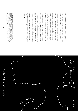And while visitors to Tate St Ives are asked to keep their hands to themselves, down here on "Port Meor" Beach the sand in my hands – in *our* hands – is all about touch, tickling slightly as it trickles away, over seconds, over minutes, over aeons. A billion or so years ago – a blink in the eye of my hand-held sand-timer – the moon was much nearer Earth than it is today, with a stronger gravitational pull raising vast tides in our planet's young oceans. The energy dissipated by those tides as friction helped slow the earth's rotation, locking our moon into its present alignment, so it always shows the same face to the earth. In the fullness of time, the earth, too, will become tidally locked, and so will always show the same face to the moon. The tides will cease, bringing to an end the great natural spectacle of an ocean dragged across the beach by the moon's cosmic leash, with the entire weight and breath and heartbeat of the sea involved in the daily shaping and reshaping of the shoreline – a liminal space that is erased and rewritten twice a day by tidal improvisations: by what oceanographers know as "the Atlantic calcium carbonate budget", or by what children and castle builders know as "fresh sand", laid out anew each day.

And it's waiting for us now, as my sandglass ebbs away to nothing: a miniature cosmos, our new world of sand, waiting to be created and erased again, by a hundred hands, by a single tide.





Newlyn Art Gallery, Cornwall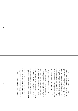As we stand here in the Isles of Scilly, surrounded by water, the timeless inscription chiselled onto a rock on Holy Island, Northumberland, resonates with this beach: "Out of the sea a heart beats of stone". Our heart of granite, softened by white sand and brightened with wild fowers, breathes the south-westerly winds. It beats with the tides and the Gulf Stream flows through its veins, part of a great circulatory system of interconnected ocean currents transporting heat and nutrients around the world. It takes one thousand years for a water particle to make a complete journey through this global system and return to where we are now.

While ocean currents transport water, tides transport energy. Right now that energy is fowing around the Atlantic Ocean in the form of a colossal wave with high tide at its peak. After passing the Isles of Scilly the energy that forms high tide travels to Iceland, Greenland, North America, North Africa and Europe. It then returns here twelve hours later and repeats the cycle without missing a beat, connecting us with communities around the Atlantic regardless of culture or climate. From the Inuit of Greenland to the Berbers of the Sahara, we all share the energy of the Atlantic tide wave. And this wave does not work in isolation, it is part of a network of tide waves that join like cogs in a great machine, high tides merging seamlessly throughout the world's oceans.

Tides, winds and currents are set in motion by the earth orbiting on its axis at an angle of 23.5 degrees. This perpetual spinning creates a climate of constant change; day to night, spring to summer, high to low. But this change is not linear – it is circular. It follows a cycle, a path that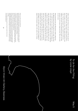makes a loop and returns to the start, just like the peak of the Atlantic tide wave. Each cycle is unique and the time it takes to make a circuit varies. Tides repeat themselves once a day. Currents transport water around the world once a millenia. And every several thousand years polar ice melts and pours into the ocean, rising sea levels. This is the cycle we are in now.

Three thousand years ago Phoenician traders sailed from the Mediterranean and stood where we are today. But their view would have been very different; instead of looking out over water they were above a valley that rose up to hills that make the islands opposite us. In those days these were not a collection of isles, but a single island whose valleys were fooded by rising sea levels, creating the isles we see today. And now that cycle is repeating, this time accelerated by man-made global warming. The difference now is that by looking back at the cycles of the past we can predict what will happen in the future, and we are better equipped to adapt to this dynamic stage in the cycles of our oceans.

## *To Us for the Filling* by Lizzie Lloyd

William is an author, artist and adventurer.

In 2014 William founded Tidal Compass and travelled the coast of Britain, making Tide Maps for the coastlines he explored. This adventure inspired his best-selling *Book of Tides* followed by *The World of Tides* and *Tides and the Ocean*.

In 2018 William was made a Fellow of the Royal Geographical Society and established Tide School, taking people on outings along the coast and teaching them about tides so they can have safer and more satisfying adventures.

William is currently planning an expedition to sail the world and explore climate change. His strategy is to sail to the places most at risk and share the stories of *'SUPA' Heroes;* people helping develop a sustainable [S] future through better understanding [U] the natural world, preventing [P] damage to the environment and adapting [A] to changes in climate.

You can follow William's adventures through his weekly Friday Forecast at www.tidalcompass.com

Glynn Vivian Art Gallery, Swansea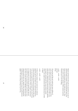Splayed and blanched-white pails are passed from one pair of expectant hands to another. Crisp and shell-like these conic forms are nestled upside down, one within the next. They call to mind overgrown peonies, frilled eruptions opening themselves up to us for the flling.

*scwtch – scwtch – scwtch fud-thwt fump*

I fll and pat and fip and wonder how many millions of castle-shaped buckets have been flled along this bay? How many names temporarily scrawled on its shore? How many stones thrown, spades buried, sticks fetched, shells collected, rearranged, and pocketed? How many bottles washed ashore, nets caught and knotted, balls carried away by winds or tides?

*scwtch – scwtch – scwtch*

I'd like to fll my buckets with words that I've collected, inspected, and run my fnger over; words that belong here. I'd like to fll them with memories of this place so that when I turn out my tamped down, second-hand words, they'll form unsound frst-hand mounds. These, I imagine, will amount to a compression of snot-wet-grit-specked upper lips and benumbed bare feet and grizzled skies and overcast waves the colour of week-old bruises. Midnight walks home after closing would be there too, together with (something like) football played at dusk in fts of young and unselfconscious giggles. The bank holiday birthing of my frst boy.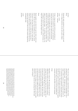*fud-thwt fump*

Getting the right consistency is crucial, though: too wet and I risk a sloppy dissolution, too dry and a gusty collapse.

*scwtch – scwtch fud-thwt – fud-thwt*

I'd like to shape my mounds with the ups-and-downs of accented words mouthed here, by there, and endowed by vowels that are extended, open-ended and occasionally curtailed. In my teenage years, when it mattered most, I set to adopting this lolloping rhythm. I later lost it somewhere along the way to here. Now I hear it only occasionally. I can replay it in my mind, though – it's still there. But when I set to speaking it aloud it isn't; my mouth is stiff and clumsy, no longer able to form the right shapes to host it.

#### *fump*

Hands together; eyes closed: she's got the whole world in her hands. The last time I sang something close to this refrain I was here, in this same sing-songing city, I mean. Sitting, head down, cross-legged on a sticky lino grey-blue floor I would cast sideways glances around the school hall and the teachers that rimmed it both of which seemed comparatively, unimaginably large.

*scwtch fud-thwt* This is her way, I suppose, to play between scales of time and dimension. Switching between the unfathomably vast to the familiarly small – from light years to light bulbs – she stages a world, a universe even, in precarious miniature (or is it a precarious world in miniature?). She hands out pieces of it, proxies for it. These fve great world formations don't look like much against the backdrop of the arm-wide expanse of Swansea's bay, not much at all: more molehills than mountains and ft for glee-flled, two-footed stamping.

### *fump*

Regardless, we dig on. We rearrange grains of sand into shapes that we know to be short-lived before turning to rearrange the contents of our daily lives into shapes that we know to be short-lived. We dig on. It turns out that even her pails exist in passing, degradable, like these words and the sounds and the mounds they make and the worn down mountains on which they're modelled. Before long, I know, my sand mountains will be toppled from above and sucked from below; they'll collapse in on themselves, out from under themselves, swept clear by the returning tide. Still, heads down; we dig on.

Brought up in Swansea, Lizzie is an art writer. She lectures in Fine Art and Art and Visual Culture at University of the West of England. Her texts have been commissioned by Plymouth College of Art, Phoenix (Exeter), Hestercombe Gallery (Taunton), UH Galleries (Hatfield) and she recently contributed to a Cubitt Education Community Studios project (London). Her writing has appeared in publications including Art Monthly, Journal of Contemporary Painting and artnet. She was writer-in-residence at Arnolfini (2016) and Plymouth (2017). Her doctoral thesis on Art Writing and Subjectivity at University of Bristol will be completed in early 2019.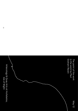*The point of the work is the work* by Paul Graham Raven

May 12

Artecology & Quay Arts at Hullabaloo, Isle of Wight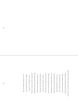Dear child, let's play a game. Come here, crouch down, and place your tiny hands upon the ground to feel the salted sand beneath your skin. That outer layer of your inner world is very thin, and will get thinner still as years pile up on years, but never mind – you're young, and age is for the aged ones, and time for you still measures out in joy and tears and wonder, day on day on day, and size is relative at best. So much will come along and go away with time, your life an hourglass, the top still full but trickling slowly downward nonetheless; you're still so small, the world is oh-so-big, and how I hope to see it all anew again, as seen and felt afresh by you, your eyes alight and hungry for it all!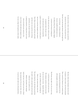So: look out there, where waves dance up and down, and tell me what you see. Not much? So true! But don't just look through distance, look through time to see the past – not deep as dinosaurs, but just a handful-hundred years or so. It's Fifteen Forty-Five, and Henry Eighth is fearful of the French invading here (a war, like most such wars, which was at heart an argument about who got to claim the work and taxes of the normal folk, a game of thrones in which we're merely pawns – and not so much has changed in that respect). Now, Henry was all get-stuff-done-and-build, and forts were very much his sort of thing: protection, yes, but part of playing king is making statements, setting down your mark. And so he had his men construct a fort, a box of stone with walls and ramparts: traps for men in ships with mayhem on their minds.

But then, before they'd fnished, from the swell of summer's tides at dawn, the French attacked! They crossed the Channel in two hundred ships, two thousand men all gunning for the fort, still incomplete, the builders not yet done.

The French, they didn't win (I'm not sure why, to tell the honest truth) and went away. The workmen carried on, the fort was built, the war was won (or lost – depends which side you take) and Henry died, as all kings do. (They're only human beings, after all.) The years fowed by, the tide licked up and down the castle's walls, and made them soft and weak, which isn't very useful in a fort. Alliances and politics had changed (and so had war), the French were less a threat than someone else (I'm not sure who). And so it was the castle walls were all knocked down,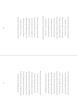the stone reused elsewhere, the site left bare, abandoned – given over to the sea. My point, dear child, is not to make a mock of kings, not even Henry Eighth. (I *could*, and sometimes do.) But look: in Henry's case you can't accuse the guy of sitting back and letting life unfold for sake of fear that what he did might fall a little short. As mortal as he was – as you and I – he made his moves, and made them fast and bold.

My dearest child, the point I mean to make is that you'll try then fail, or try then win – and even when you win, it mightn't last beyond the frst bright rush of holy joy completion brings. Temptation sings a tune (like sirens, if you know your Odyssey) of torpor, tells you not to even try: why bother, if the things you make will die,

and so will you? *But that's the wrong way round.* The tree still falls; the question of the sound is answered by the other trees, who'll say "we felt it – that's enough". The forests know that life-and-death's the loop that lets them grow, that kings and heroes cannot do their work without their soldiers, builders, farmers, clerks. The large is built up slowly from the small, and every castle-tree must someday fall.

Now let's get down to earth, let's touch the truth – no matter if the sand is wet, who cares? For did you know that once upon a time this sand was rocks and mountains, far away? That time and tide wore down those mountaintops and crushed them into something close to dust? It's true! The large becomes the small with time, the small becomes the large... this Earth was made from distant stars exploding into rust,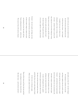and so were you, you too are made of stars, the salt-red ocean underneath your skin is full of tiny bits of stars – don't laugh! I wouldn't lie to you, it's what we are, all people, good or bad, or strong, or weak, are stars – and don't forget it, much as life may tempt you so to do when things go wrong. 'Cause time is ocean's waves, and life's a beach, and all our castles merely piles of sand – but don't despair! The power left to each of us is here, *right here,* within your hand.

So kneel – but not to gods, nor kings, nor men. To time we bend the knee, and take the gift of time to make a shape, to make our mark, not knowing if or how that mark will last. 'Cause nothing lasts forever – sad but true. The waves of time will crush our rhymes

and castles, yes, they will – but don't despair.

For meaning is a moment we can take and cling to tightly when the world's awash with rage and loss, and we feel oh-so-small. So kneel – and sink those tiny human hands into the sand, which once was mountains tall, and make it shape a mountain once again. Perhaps the sand remembers what it was; perhaps your hand remembers how it felt to raise a wall against the sea, against the French, against the patient tides of time. For that is all that human hands have done, and all that they can do: make shapes of sand, of rock or air, or ink upon a page. (This is my castle, made of words, for you.)

There will be times you'll face this fact and feel that nothing's to be done, that all is lost. But other times – and let this be the frst! –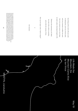that feeling will be wind to fll your sails: if nothing lasts, and every fortress fails, and every mountain crumbles into sand, then every moment, poem, every shape we make is glory: dreamings brought to life.

Embrace this momentary act! Admit the truth of life, which is mortality, and so defy the tyranny of time.

Now say the magic words: "shall we begin?"

#

(for Jasmine)

Paul is a postdoctoral researcher for Lund University (Sweden), using the tools of science fiction and social theory to explore infrastructural reconfigurations for Anthropocene futures. He's also a writer of poetry and fictions, and a consulting critical futurist, literary critic and occasional journalist, with bylines in such venues as New Scientist, Wired UK, ARC Magazine and The Guardian. He lives a short walk from the site of the Battle of Orgreave, in the company of a duplicitous cat, five guitars he can barely play, and sufficient books to constitute an insurance-invalidating fire hazard.

40

*Life Made the Mountain, the Mountain Came Alive* by Ian Vince

MOSTYN, Llandudno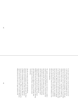It seems odd to stand on a beach and tilt your head up for a view of the ocean foor, but that remarkable feat can be achieved on West Shore Beach at Llandudno. The cliffs and slopes that terminate each end of Ormes Bay are the petrifed remains of a former sea foor – the bottom of a shallow sea, now long gone, that existed over 325 million years ago. This is not unusual; most mountains are made from sediments laid down in the ocean. What is special about limestone uplands like the Great and Little Orme, is that they were originally made a long way offshore. The sediment that created them did not come from the erosion of an earlier landmass; it was left by living organisms.

The uplands around Llandudno were laid down in a shallow tropical sea during the Carboniferous, a period of deep time that teemed with life. The southern shore of this ocean continually moved, with the sea periodically inundating and then receding over dense lowland rainforest where ancient dragonfies reached the size of seagulls and millipedes grew to one and a half metres long. Continual fooding of the forest foor left layers of dead plants collecting and compressing over millions of years to eventually form the coal seams of South Wales. Carboniferous means *coal-bearing.*

Like the coal seams to the south, the Carboniferous limestone around Llandudno is made of life itself. The Orme limestones were formed from the shells and exoskeletons of billions of brachiopods, crinoids and corals. When the limestones were frst laid down, Wales was located along the equator and the climate was similar to the modern Bahamas. Britain also lay at the centre of a super-continent of all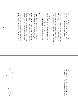the world's land called Pangaea. In Pangaea, a walk from Llandudno to New York would have taken about a month, followed by a wait of around 330 million years.

As the continents crushed into one another for Pangaea's assembly, the Caledonides – a mountain range of Himalayan proportions – formed to the north eventually eroding down to the Scottish Highlands. It was during this period of mountain building that the Orme was uplifted. From the Promenade, you can even see the fold of the rock beds above the Grand Hotel and under the pylons of the cable car.

Mineral-rich water seeped into the fssures created as land was uplifted and rucked like a rug. Dissolved copper crystallised into ore known as malachite and enough of it would be extracted from the Great Orme mine during the Bronze Age to make at least ten million axe heads. The Orme was one of the largest industrial sites of the Bronze Age world.

In other parts of the world, mountains stand aloof. Wood smoke flls the valley foors, agriculture, industry and the material needs of people predominate below, while the mountain is the home of spirit, the mark of permanence, the symbol of calm. On the seaboard of Wales, it was reversed. The mountains were places of industry – of mines and quarries – while, in the valleys that met the shore, buckets and spades beside the seaside had an altogether different purpose to their mountain counterparts.

Much of that has been upended and usurped by technology, by modernity, by the blunt forces of economics and politics. The industrial mountain has become silent, even in the

hubbub of its new appeal to tourism, within the projected spectacle of visitor centres and heritage attractions, the mountain is now a place to take a longer view and look at our own lives.

After writing three humour titles in two years, Ian Vince decided to take things at a more sedate pace. With two friends, he marshalled a 1950s electric milk float across England for the 2008 John Murray book, *Three Men in a Float*. The delightfully slow journey woke up Ian to the power of the landscape in all its forms. After another year of travelling up and down Britain and only half-remembering his geology O Level, he started the British Landscape Club and wrote its unofficial manual, *The Lie of the Land – an under-the-field guide to the British landscape.* He lives in Wiltshire with his family.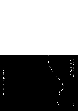*A Beachfront View* by Stuart Walker

Grundy Art Gallery, Lancashire

June 2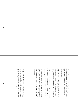The swell rolls in, rising and breaking and surging into spume that surfs across the sand. Back and forth, back and forth, waxing and waning with the breath of the moon. There is constancy in its changeless routines and changeable moods.

Down at the water's edge soft soughing flls the air, pierced by the quarrelsome cries of gulls. And the brine on the breeze smells of … *innocence* … cut-throat pirates, crows' nests, *the wheel's kick and the wind's song,* Billy Bones and Blind Pew.

Looking out from this place landlocked lubbers once dreamed of distant shores … the Spanish Main, Portuguese Men o' War, Ancient Mariners, the cargoes of Masefeld and the Bounties of Bligh.

But the horizon and the romance have become foreshortened because even the seascape is now in harness to our appetites. The wind farms that fence in the skyline try in vain to keep up with our cravings. One day, perhaps, even the wind will be exhausted.

The jarring jingle of the ice-cream van has usurped the sirens' song and a little grey donkey bearing the mark of the cross on her back in memory of Jerusalem now goes by the name of Fif. She stands on the sand in pink taffeta hat and fake-fower necklace patiently waiting to ply her trade.

\_\_\_\_\_\_\_\_\_\_\_\_\_\_\_\_\_\_\_\_\_\_\_\_\_\_\_\_\_\_\_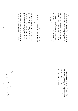But from the kiss-me-quick to the squeeze-me-slow, a shadow hangs over this beachfront view – the plastic buckets and the plastic spades and the plastic pitted sand, and the bottle tops and the beer cans, and all the fun of the fair.

Behind the sands the straddling tower casts a sombre eye over the bustling crowds, the bingo halls and the tramcars, the sticky sweets and the penny arcades. And as the day sinks into the sea there are big lights and big shows and night-time bars with 'Funny Girls' and 'Table Dancing'; and the *Little Black Pug* presents a drag act with the alluring stage name 'Baga Chipz'.

Many of the streets away from the front have a melancholy air, the guesthouses and trinket shops have seen better days – before their regulars few south for the season for too many sangrias and too much sun.

But there is also optimism in the  $air - new$  buildings, new jobs, a fresh start and new hope. And most of all there are the beaches – the glorious golden beaches – washed and cleaned and always new under a windswept sun – with families and picnics, cricket and castles, and endless days that stretch on and on into childhood.

And time passes. Generations come and generations go. The sun rises and the sun sets, and the mountains come down to the sea.

And the swell rolls in, rising and breaking and surging into spume that surfs across the sand. Back and forth, back and forth, waxing and waning with the breath of the moon. And down at the water's edge soft soughing flls the air, pierced by the quarrelsome cries of gulls.

And the earth remains … forever.

Stuart is Chair of Design for Sustainability at Lancaster University where he cofounded ImaginationLancaster. He is Visiting Professor of Sustainable Design, Kingston University, London and Emeritus Professor, University of Calgary. His AHRC supported research explores environmental, social and spiritual aspects of sustainability. His designs have been exhibited in Canada, Australia, Italy, the Design Museum, London and Brantwood, John Ruskin's house in the English Lake District. His books include *The Handbook of Design for Sustainability* (ed. with Jacques Giard), *Designing Sustainability; Design Roots* (ed with Martyn Evans et al), *Design for Life and Design Realities* (Routledge, 2018).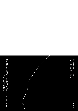*Portstewart Strand* by Patrick Barkham

The National Trust and CCA Derry~Londonderry,

Northern Ireland

June 9

k A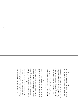Before there were mountains, and dunes like miniature mountains, and sandcastles that map our mountains, there was a lake of molten basalt. It cooled slowly, giving shape to this line where land meets ocean.

Over millennia, the sea nagged and nibbled at the rocks. This restless sculptor, sand creator, pushed the rock dust away from Portstewart. Over centuries, billions of grains nudged the River Bann along the coast. The Strand had ideas, the Strand had ambition. It spread its wares westwards.

The wind, like an avaricious giant, piled this gold into great mounds. Tenacious marram grasses fought the wind for six thousand years, fxing its sand-hoard into dunes, adorned with pyramidal orchids and wild thyme.

Below them, two miles of tabula rasa, created every day. Washed clean, fussed over and rearranged by the sometimes placid, often furious, always mighty maid that is the North Atlantic.

What a space for the humans who trod here when the dunes were still as small and changeable as a baby. The Neolithic people may have fought or sought food by the sea but they watched the sunset and found solace in the rhythm of the waves too. They would have played here, found community here and told stories here, just as we do.

Portstewart Strand shapes us and our imaginations. My favourite Strand story tells of a husband and wife living happily on the banks of the Bann. One day the wife fies into a rage and fees for the Strand. She fnds a surprise washed up on the beach – the decomposing carcass of a whale.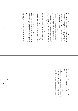Sinews are stretched taut between its ribs. They sing in the wind. The wife is lulled to sleep. The husband fnds her and realises she has been soothed by the whalebone music. The next day he cuts a bough from a tree and adds animal sinews as strings. Whenever his wife becomes distressed, he plays on his harp, and all is well again.

The ocean is a great peacemaker. But the sea is an exhilarator too. It's an audience urging us on. We crowdsurf it, swim it, or hear its roar as we run fast and free. Generations ago, folk thundered their horses on the Strand, racing through the surf. Now we bring our metal machines. Is there an occasional doughnut spun on the sand? An illicit race by moonlight still?

Sixty years ago, many beaches were flled with cars. Now, like smoking in a restaurant, driving on a beach suddenly looks surreal. Society's values are reshaped as swiftly as the sand. Strand-driving feels a bit wrong too: eerily smooth, as if the soft sand may bog us any second (as it occasionally does).

But cars, shiny and packed tight as sardines, are still the picture of Portstewart Strand on a summer's day. Each one is a windbreak, beach hut, cafe and changing room. Regulars paid sixpence in the Sixties to park here, and park here they will.

The Strand is a fun park, pleasure ground and common land; a place of elation, contemplation, emotion, creation.

The departing tide sketches wavy lines on the beach. They wiggle like the rings of a tree stump. Both tell of time's passing.

An expanse of sand is the most eternal of landscapes and the most changeable. As we build our mountains, we remember that our labours are ephemeral, our lives are short and everything must change. We thank the Strand for this sadness and joy, and for the great gift of starting again.

Patrick was born in 1975 in Norfolk and is Natural History Writer for the Guardian. He is the author of four books – *The Butterfly Isles, Badgerlands, Coastlines* and *Islander*. The latter won the National Geographic Traveller readers' prize in 2018. He lives in Norfolk. His next book, about children and nature, will be published in 2020.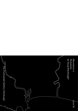*Mountains in Portobello* by Doug Macdougall

 $\sqrt{\frac{1}{10}}$ une 16

The Fruitmarket Gallery, Edinburgh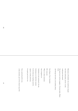Mountains in Portobello: who would have thought

that these small peaks, precise, to scale,

would grace this beach?

This beach once trod by smugglers, Victorian ladies, Walter Scott.

And George the fourth, in his military fnery.

Fuji, Shasta, Uluru. Stromboli.

Kil-i-man-jaro.

What is it about mountains

that so beguiles us?

Cathedrals of rock reaching for the sky,

beckoning us to climb their summits

for the sheer joy of pitting ourselves

against a worthy adversary.

Or maybe just for the view.

Fuji, a postcard perfect cone,

a holy mountain, part of the volcanic ring of fre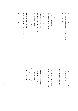that rims the great Pacifc where ocean crust dives deep below the surface, until the planet's inner heat turns it to magma.

Across the wide Pacifc Shasta, a ring of fre California cousin, stands proud, and sacred too, the tribes who lived in her shadow said she was inhabited by spirits. John Muir, that son of Dunbar who began his life not far from here nearly ended it on her peak, until he found a hot spring near the summit to shelter him from a raging blizzard.

Fiery Stromboli, rising from the sea, her lava fountains guiding wayward sailors like a lighthouse. She too was born of plate tectonics,

of Africa sliding under Europe until again internal heat turned solid stone to liquid lava.

And in Africa famed Kilimanjaro, a different kind of volcano, hot plume from deep within the earth rising up, splitting apart a continent, pushing the famous peak up to the clouds her summit dusted with snow.

Finally Uluru, smallest of our five; looming red above the desert, this mountain no volcano just a block of sandstone, grains of quartz and feldspar, cemented, tilted up toward the sky.

And here in Portobello our tiny seaside mountains shaped by human hands, no plate tectonics required,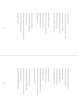are also made of sand –

sand from other mountains, distant in time, in space, mountains forged in fre, raised high, they had their feeting moments in the sun before they too were worn away, until no trace remained, except this sand.

Quartz, feldspar, mica. Zircon. Minute grains, winnowed by tropical rivers, scooped up by roving glaciers, piled here by North Sea waves. Piled up again by us.

One man who walked this beach in centuries past, a man who some say is the one who found time, once wrote – thinking of sand and mountains and time – that there is 'no vestige of a beginning, no prospect of an end.'

I think about his insight as we gather here to watch *our* mountains rise and fall, leaving nothing behind. A speeded-up geological cycle that Mr. Hutton would appreciate. Time stretched, time shortened.

Four billion years and more have shaped this earth so far, more billions still to come. What will they bring? More mountains to be sure, more grains of sand cracked from those rocky peaks and carried to some future sea.

A future sea not one of us will know, a sea with shorelines, inlets, headlands, cliffs, and beaches just like this one, but so far away in time that our imaginations fail.

We cannot even comprehend their presence.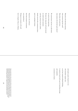What feet will walk those beaches, what creatures dig their sand? What tides will wash them, what storms will roil their quiet shores?

We cannot know, but here, on this beach,

we need no future-guessing.

We know the rising tide will swirl around

our small, sandy mountains

until they slowly tilt and crumble,

dissolve into the fat, monotonous shore,

gone in a geological instant.

Tomorrow who will know

that these miniature mountains

ever existed here?

Perhaps our memories will recall

how we shaped a Fuji, or a Shasta,

and maybe a grain of quartz or two

will remember vaguely how,

on its four hundred millionth birthday,

it somehow found itself a part of something strange,

and wonderful,

a mountain on a beach.

Doug is a geoscientist, writer, and former professor of earth sciences (now emeritus) at the Scripps Institution of Oceanography in La Jolla, California. Born and raised in Ontario, Canada, he has been based in Edinburgh since 2005. His most recent book, to be published in 2019 by Yale University Press, traces the exploits of scientists on the 1870s Challenger expedition, a voyage that had many Edinburgh connections.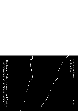*A Vestibular System* by Maria Fusco

Aberdeen Art Gallery & Museums and Creative Learning, Aberdeen City Council, Aberdeen

June 23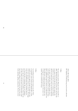*18th to 19th August, 2018 M.V. Hjaltand, NorthLink ferry, from Lerwick to Aberdeen*

#### 7.40pm

The tawny horizon pitches, flling the window from 20% to 100%. Matching the giant yawn of the waves, the ferry tips. As my glass of red wine slips off the table, urged by this turbulent sea, I decide not to save it, letting the full glass spill over my denim skirt so that I am forced to walk back to my cabin. I stumble about, dripping, through a force I cannot disagree with. Chucked by the swell into the Game Zone, I deliberately angle my descent, so I slide between two Xbox 360 tower consoles to ease my confused inner ears. A teenage boy is retching theatrically in the corner. I am content. There is nowhere else I can go.

### 2.40am

I am buckling in the top bunk. Lying on my side. There is no porthole. I have turned on the bedside light. I watch myself in the mirror opposite through the beige safety bars of the bunk. Squinting to witness my ochre face. The bridge of my nose is throbbing. My scalp is shrinking. My ears are fresh. My belly is undulating. My toes are clamping. I keep my lips shut to prevent the possibility of boke. My toes are cold. I think of the pets down on the deck below; small hairy bodies rattling in wire kennels; the water from their bowls splashing, spilling, soaking them. The ferry's lower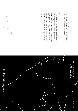machinery wails solid. Metallic yelps and deep sea groans. Held up by water. Cradled by wind. Compressed by gravity. I am content. There is nowhere else I can go.

#### 7.40am

I speed off the ferry, running towards the beach. I can barely walk straight, trip over kerbstones, lurch round granite corners, grazing my knuckles. I am laughing. My mustard jumper is on inside out. I haven't brushed my hair. I am here. A lambent tide. Moss green groynes. Vertigo. Longshore drift. A ribbon of cyan sky, just there, between the clouds. The white lighthouse blinks. A giant gust of wind slaps me. I finch. My tongue is fzzing. Sand crunches between my teeth. I fall to my knees. I am content. There is nowhere else I can go.

Maria Fusco is an interdisciplinary writer and Professor in Art, Design and Social Sciences at Northumbria University. Working across the registers of creative, critical and theoretical writing, her work is translated into ten languages and she is editorial director of cross-genre journal *The Happy Hypocrite* (Book Works). Recent works include *ECZEMA!* (Accidental Records and National Theatre Wales, 2018); *Give Up Art* (New Documents, 2018); *Master Rock* (Artangel/BBC Radio 4, 2015) and *Legend of the Necessary Dreamer* (Vanguard Editions, 2017) which Chris Kraus calls "a new classic of female philosophical fiction."

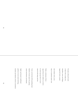To make a hill you'll need: a slope with a steady rise, shoulders, noses and ridges, topped off with a summit

don't bother with a cairn they're considered rather vain

Paths: a minimum of three – uppy-downy for walkers in a hurry & some zig-zag trods or traces shared with sheep and deer

Cover: on the lower hill something basic blankets of moor-grass for grazing mixed with fowers and thistles

higher up breacan's traditional:

patches of scree mixed with ling,

bracken and thickets of birch or hawthorn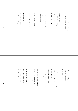no reason not to add pines on the skyline,

or, for variation, a stand of larch

A burn: with pools as much for the sound they make as their pleasing waterfalls line it with hazel, alder, etc.

at the foot incorporate a bog with peat, myrtle, meadowsweet and bonus tadpoles

A hill seems part of nature but you can be sure you weren't the frst to walk here

factor in the human:

the dent of an old quarry,

a fank, humps in the grass

marking ruined shielings & memories of summering, long-untended layzybeds

A past: be ambitious: dig in something Neolithic, Norse, or Roman, align a standing stone, ft in the cave of an early saint or add a folly – they go well with waterfalls and attracts visitors

Now the diffcult question of economy: your hill's pretty, but how do you plan to make any money?

mobile phone masts are a thing, whether lattice or fakey-pine, but do you really want one? alternatively, pylons and radar masts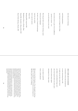show that you're listening

avoid sitka plantations –

mass forestry's no longer the in-thing

best of all, invest in a pair of wee windfowers

– provens or evances – so's

you can feel smug in every wind

Now the part that's most fun: devising a name:

brush up your languages

but don't worry if words and meanings

seep into one another

here's some for starters

Clook, *Claw*

Keelylang Hill, *Long-keel Hill*

Rushabreck, *Horses or Rushes Slope*

Snaba Hill, *Snowball or Sheep-shelter Hill*

Starra Fiold, *Starling or Rushes Hill*

#### **coda: to make your own mountain**

A mountain is from some perspectives no more interesting than a hill: to make one just take a basic knowe and infate it until altitude brings snow and a line beyond which trees don't grow draw the contour lines tighter and prepare for a long winter

on an island a small hill

forms a model pinnacle

Hill names from Berit Sandnes: *From Starafjall to Starling Hill, an investigation of the formation and development of Old Norse place-names in Orkney.*

Alec (Scotland, 1966-) is an artist & poet whose work crosses over a range of media and forms – poetry, visual poems, poem-objects, sculpture, collage, audio-visual, artist blogs, and new technology. Much of Finlay's work considers how we as a culture, or cultures, relate to landscape and ecology, with a specific interest in place-awareness, hutopianism, and rewilding. He is also known for his political and social activism. Recent work includes A Variety of Cultures permanent artwork installation at Jupiter Artland; and HUTOPIA for the Fondazione Prada exhibition 'Machines á penser' at the Venice Architecture Biennale.

Finlay established morning star publications in 1990. He has published over forty books and won six Scottish Design Awards, including two Grand Prix Awards (2001, 2015). Recent publications include the Scottish Design Award nominated *a far-off land* (2018); *gathering* published by Hauser & Wirth (2018); *th' fleety wud* (2017), *minnmouth* (2017), *A Variety of Cultures* (2016), *ebban an' flowan* (2015), and *Global Oracle* (2014).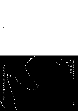

An Lanntair, Stornoway, Isle of Lewis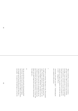*"Before I studied Zen, I saw mountains as mountains, and water as water. When I arrived at a more intimate knowledge, I came to the point where I saw that mountains are not mountains, and water is not water. But now that I have got its essence, I am at rest. For it's just that I see mountains once again as mountains, and water once again as water." - Qingyuan Weixin*

*"Great faith, great doubt, great effort." - Traditionally the three conditions of Zen practice*

#### I

First there is a mountain. Then there is a bay. The mountain is really an island, and has two borders and at least four names. The bay is called Loch a Tuath, "North Loch", but is known in English as "Broad Bay" and really it is the sea. You harbour a theory that since we emerged from the sea, we think in waves; at any rate, we are surely transient and have no fxed form. On the island, by the bay, is a beach, Coll Beach, also called Tràigh Chuil, and this is what that beach has taught you…

# II

One day you bent down and seized a disintegrating fstful of Coll sand. You stood up and unclenched your fngers, observed time fowing swift as gravity. Maybe in the future, you thought, gravity herself will up-end the Earth like a snow-globe – the sands of Coll shall begin to run from the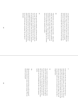end called birth to the end of the beach which really has no end. Time, a poet or scientist said, moves at a different pace beside the sea. When you were a child you were already old because of relativity and circumstance and books and because you simply didn't play on the beach often enough.

#### III

Child old before your time, you lived in books – within other people, other times, other worlds. Words were plentiful as particles of sand. You held a grain of sand to your ear and pretended to hear it whisper, "Listen, at the end of the universe the sands of time, as on Tràigh Chuil, are stretched before you like this, beautiful as freedom."

#### IV

You built stories like sandcastles, and believed everything you read. There were no books about you or your kind; you were not quite sure you existed. Sometimes the sand was hot and agonisingly ticklish under your bare feet. Sometimes you popped grotty bubblewrap seaweed with mad pleasure. Sometimes you learned that the same sun that warms the planet can scorch the skin on your back. In certain moments, you can still feel the pain, the peeling. The raw fare of aftermath.

### V

It hurt, too, that this water, with which you had such an intense affnity, kept its distance, even when close. The sea's tongue lapped and sizzled, icy and bitter, over your bare feet, and bit at you with the sharp tang of jellyfsh. Salt waves slid with an elastic clasp over your thin, brave thighs. This cold sea that gave birth to all of us clutched at your chest like a stopped heart.

#### VI

You yearned to embrace all horizons at once. Your vision began to fail. Swimming until you can't see land ought to be no more unusual, you believed, than living somewhere without a sea view. You swam through wave after wave like one whose hugs are pushed away. If the Earth is threequarters sea, you concluded, then she is three-quarters tearful.

#### VII

Who has been forced to kiss the bitter scruff of seaweed? Who has endured the violent, brackish bucking? Who has learned to go beyond?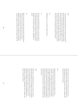#### VIII

You pictured the Earth tilting as she orbits the sun. Platonic gravity holds planets and warmth at arm's length. Perhaps this is a universe of hidden love, perhaps delayed love is love for the best. Better than time, better than words, let each grain of sand represent a good deed achieved unseen. Make mountains of them. Do not speak of compassion. There is a word for that. Put compassion, instead, into practice.

#### IX

Helping others, you encounter unifed sentience.

# X

You have not embraced all horizons at once; that would be the work of the ego. It is enough to assume the serenity of the bright moon refected in a wild sea. Let the heart beat steady as a clock during a savage storm, a lighthouse to others.

#### XI

Below the waves, the ghosts of the drowned. Hungry ghosts. Thirsty ghosts. Do you remember how you once dived too deep here and came face to face with such a ghost? O, Bodhisattva. Such moments are fragile, like a tiny golden seahorse clasping a transparent wisp of seagrass under the

intense pressure of an ocean. Your heart, your mind, your lungs, could have burst. We are all vulnerable. Gravity, time and mountains have us at their mercy. And so, humbled, you forgave the sea her sad bones.

### XII

Forgiveness buoys you up. And so, you think, let time's ocean barrel towards our fathomless island like a mountain on wheels – an idea that is, after all, no more absurd than an actual planet tumbling through actual space. Created, we create. May we all fnd meaning in life, wisdom in art, joy in absurdity. It is said that the man who invented cycling did so because he desired a surreal way of walking. Swimming is a surreal means of embracing nature. And so the beach is also what saves us.

## XIII

This huge, ever-expanding universe is a tsunami, exquisite. When the mind breaks, it can break like a clock or break like a wave. To understand the wave, think like a wave. To have presence, learn from the mountain. As a wave can travel from Coll to Colombia, the mind fies from Mùirneag to the Matterhorn, the Cliseam to Kilimanjaro, here to infnity, and back, everywhere, nowhere.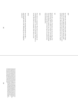#### XIV

In a Japan only visited by certain minds, a Gaelic Japan, there is a woman made of sand. You love that her sand disobeys time, as if she has learned the secret of the waves and the moon. Her mind is a full moon of its own. Aspire.

#### XV

Sands shift, quicken. Choiceless time does its thing. Coll Beach shrugs off her clothes, switches on the night-light. The moon ignites a cloud or two. You, who swam through wave after wave like one whose hugs were pushed away, keep swimming them.

#### XVI

First there is a mountain. Then there is no mountain. In swimming towards it, we swim to each other. Then there is no sea. Now there is a mountain. Now there is a sea.

#### XVII

You swim onwards, streaming through the sea like a good thought come to life. Embracing, you are altogether embraced.

> Born and raised in the Outer Hebrides, Kevin is regarded as one of the most inventive and versatile writers of his generation. A poet, novelist, playwright, screenwriter and editor, he has performed his work and taught creative writing across many countries. His books include novels (such as the Saltire-nominated The *Brilliant & Forever*), poetry (the Premio Tivoli-winning *Love and Zen in the Outer Hebrides*) and unique editions (such as the first ever publication of the Jorge Luis Borges-chosen *Robert Louis Stevenson: An Anthology*, part of the Herald Angel Award winning *Outriders* project). He is a cyclist, a lecturer in creative writing at the University of Stirling, and inventor of Hai-Cookery, the subject of his next book.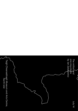$\vee$ July 14 *The million and one mountains* by Jan Zalasjewicz Taigh Chearsabhagh Museum and Arts Centre,  $\lambda$ North Uist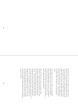The small packet in the post brought me a million presents. Each one was a sand grain from Baile Sear Beach. I did not count them individually, but a quick calculation of grain size, weight and density led to this reasonable if nicely rounded number. They can, of course, tell a million separate stories, which are now interlinked with the stories of Kilimanjaro, Stromboli, Shasta, Fuji and Uluru – which their kin now, very briefy, build on this beach, in the most physical of senses.

These grains are the survivors of their own unimaginably long and dark journey. You can observe them simply by using a small magnifying glass. It's such an easy thing but it reveals so much (you must try it for yourselves). You will see, then, the lovely, wave-shaped grains: mainly clear quartz, looking more glass-like than glass.

These survivors were once part of mountains, though mountains so ancient and so distant that they may as well have been on a different planet. Somewhere maybe near the South Pole, about three billion years ago, mountains rose up – and several tens of kilometres below *them*, deep underground, myriad crystals grew amid something that was not quite rock and not quite magma, something that was *far* too hot to touch and glowing a deep, almost black red (though it is quite impossible to see a glow, of course, that far underground). The grains waited. The giant mountains above slowly changed their form, mutating from one shape to another and slowly becoming smaller, as the wind and the weather ate at them.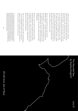A billion years ago, our grains had almost reached the surface. But then, other mountains grew above them and were eaten away by the wind and the rain in turn. Our subterranean grains – now just as hot (say) as a good cup of tea, were still far south, but moving north, one centimetre (or so) each year. Over a billion years one can go a long way, at that pace: to where the Hebrides are now, in this case. And one can grow and collapse a thousand – perhaps ten thousand - Etnas, Kilimanjaros, Fujis and Shastas in that time. These are just volcanoes, poor things, which live fast and die young. (Uluru, now, is a gentler and slower mountain, a little like our own in spirit).

And *now*, in this geological instant, that particular Hebridean landscape – a remnant of the mountains that once rose above it – is reached by the wind and rain to tear our mineral grains from the rock, and spread them as sand along Baile Sear Beach. And *now*, a little of this sand can be shaped, just for a day, into Uluru, Shasta, Fuji, Stromboli and Kilimanjaro.

But this is a new *now*, and new mountains are forming. Among the million grains in the packet of sand, I noticed one tiny pink strand – acrylic, from someone's beach towel or bathing suit. It is one tiny part of a new mountain, of the Earth's human-made plastic, that now weighs nearly ten billion tons, and that is growing fast.

This new mountain of plastic is still smaller than Kilimanjaro – but it is already bigger than Uluru, and is much more dangerous. In today's new world, we need to think hard on the new mountains, as well as the ancient ones.

Jan is Professor of Palaeobiology at the University of Leicester, UK. In early career he was a field geologist and palaeontologist at the British Geological Survey, deciphering the strata of eastern England and then the mountains of central Wales. Now, he teaches geology and Earth history and studies fossil ecosystems and environments across over half a billion years of geological time. He has helped develop ideas on the Anthropocene, the concept that humans are making a new kind of geology on Earth. His popular science books include *The Earth After Us, The Planet in a Pebble, Rocks: A Very Short Introduction, Ocean Worlds and Skeletons.* 

# *The Haunted Sea* by Sophia Kingshill

94 95 ATLAS Arts, Isle of Skye

July 21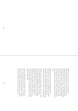When we stand on the shore, we are on the edge of a different world: the world of the sea, where mysteries lie concealed. Old stories told of an inconceivably huge beast that swam deep below the surface, a beast called the Kraken. Something like a monstrous octopus or squid, the Kraken was so enormous that when it rose to the surface, it could pull down ships with its tentacles, which reached as high as the tallest mast, and when it dived, it churned the water into whirlpools that could devour and destroy entire feets of boats.

Only one such vast creature could inhabit the ocean, a lonely giant that was created at the beginning of all things, and would survive until all other things had passed into destruction. Then the Kraken would rise one fnal time from the depths, and die: and with its death, the world would end.

While it still lived, the Kraken caused the sea to move. This was the legendary explanation of the tides, the regular, unceasing invasion and withdrawal of the waves that pull the sand and pebbles from the shore and carry them back. Suppose that unseen by us, the stupendous Kraken has breathed the water in, leaving a stretch of sand for us to create mountains. Suppose that soon the Kraken will begin to breathe slowly, slowly out, sending the sea back to wash the beach smooth again.

Science proved long ago that what causes the tides is the force of gravity and the pull of the moon, a truth that may seem as extraordinary as any fable. Nonetheless, people believed in the Kraken, and these northern seas, that circle the shores of Scotland and its isles, were thought to be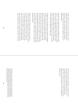its home. Off the coast not many miles from here, a ship's captain reported that he and his crew had actually seen the monster: a living, moving shape as big as a foating island, with tentacles that curled on high like an army of fghting soldiers.

Are these tales nothing but fantasy and illusion? You might think so – but it's a fact that huge and extraordinary animals live in the water's hidden deeps: the Giant Squid, and still larger, the Colossal Squid, a dweller in the coldest oceans. Its ten tentacles can measure more than sixty feet in length, and its round eyes are bigger than dinner plates.

No legend, but a real species, the great squids were glimpsed by sailors of the past, who told horror stories of immense creatures lurking in the green shadows below their ships. From the innocent surface of the sea, a thing like a long, blind serpent would rise and attach itself by suckers to the side of the boat, moving on and up, while a second and third tentacle snaked from the water, groping for prey. Men swore that they had seen their companions snatched from the decks by such uncanny means, and the rumours were repeated and feared for centuries.

Whatever truth lies behind old myths, the ocean keeps its secrets well. Today, building sand into mountains, we mirror on a human scale the cosmic forces that go to build real, towering mountains from the material of the earth. Then, as we watch the foam nibble at our sand peaks and level them, in a short hour or two we refect the immeasurable spans of time that reduce real rocks and cliffs to grains of sand, trickling between our fngers. The tide is our partner

in the artwork. Eternal, unstoppable, it could be the inhale and exhale of a creature bigger and older than any we can imagine. However much we have learned about the planet where we live, the sea is our image of the unknown, and when we stand by the shore, we are on the edge of a different world.

Sophia Kingshill is the author of *Mermaids* (Little Toller, 2015), a cultural history of sirens, selkies and other sea women. She is co-author of *The Fabled Coast* (Random House, 2012) and *The Lore of Scotland* (Random House, 2009), with the late Jennifer Westwood. Her YA fantasy novel *Between the Raven* and the Dove was published by Accent Press in 2017, and she is currently working on the sequel. She lives in London, and is a member of the Folklore Society.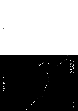*On Calgary Beach* by Michael Pye

Comar, Isle of Mull

ى

July 28

と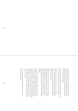I remember walking here. A cold bright winter's day, close to New Year. It was like walking on light, grains of frost shining between the grains of sand. All those tiny prisms fracturing light into brilliance.

I was walking with someone I love very much, but he's dead now. I have the oddest sense that the beach remembers.

This isn't all fancy. This lovely white sand is shell sand, made when the sea held the right creatures. Those beasts have gone, so the sand can't replenish itself any longer. What is here, stays here.

It shifts of course, each tide wipes out the obvious marks of what happened last. It also persists, just as much as the black basalt dikes you fnd all round the bay, some in the felds, some in the water, one turned into a pier. Those dikes gave Calgary its name: bay of the wall. They defne the place.

But so does the whiteness, the brilliance of the sand. Its transience is an illusion. The solid basalt also comes from a process which is over, volcanoes hurling out lava. Even mountains do dissolve; in 1806 a whole Alp called Rossberg melted down to the ground and caused a tsunami in a Swiss lake. When you're thinking about losing someone, about what's permanent and what is fragile, sands and mountains seem much the same.

You know that and you realise the sands carry much more than your own memories.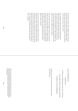Try listening to the bay. Hear the Major ring the bell in the big house at six in the evening. The house empties: maids, guests, family, cooks all down to the sand in a line. They run into the water, warm or cold, to swim.

Hear the puffers, stubby little ships, coming up from the Clyde. They run for the beach and don't stop until the sand stops them. When the tide goes out the horses and carts collect the coal and load the turnips for Glasgow; the water turns and the ship foats away. Girls listen out for the puffers: they bring a different kind of company.

Hear the echoes from the people who left in the nineteenth century: the twenty-seven families from Calgary who went to America and Australia. They were expelled by Big Hugh MacAskill from Skye, who had the estate only because his uncle did not trust his own long-haired natural son. Big Hugh was plain unnatural.

Hear the voices from Inivea, the village you fnd in ruins on a shelf above the bay. They had begun to move away before the clearances, soldiers coming back from the American wars sold America well, and sometimes they moved only as far as Dervaig over the hill. Still, they lost this place. It had been their everything. Still they lost this place which had been their everything.

#### I salute the McOlphadricks,

the McLucases,

the Patersons and McDougalls as they came to be known,

and the Gillies, Russells, Campbells and Mcleods,

the Robertsons and the McIlphadsigs.

I salute all our various memories, and our memory of the sand still shining.

Michael has written history (*The Edge of the World*) novels that try to tell the stories history can't (*The Drowning Room*) as well as broadcasting, podcasting, translating an orphan novel and general journalism. He is British living peacefully in Amsterdam after a life which has taken him to Scotland, London, the Caribbean, the Marowijne, New York and Portugal.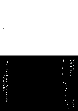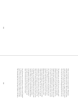Today we bring distant mountains together. Kilimanjaro, Stromboli, Fuji, Shasta and Uluru. We'll watch them jostle, nuzzle and tumble into each other; a happy, footloose swarm that will soon be washed away, like all mountains must be; worn away by the tides and disappearing back into the sea.

The highest peaks rise and fall. Our micro-summits speed up the course of nature and encourage a few improbable geological encounters. It's just play. So let's pretend: let's imagine that these molehills are mighty things; come to this shore as friends. Northumberland's coast needs all of those it can muster. It is threatened by mining, erosion, sea-level rise, creeping suburbanisation, and the plastics that stew in the seas. We like to say it is our favourite place but if anywhere needs help from afar it is here. So we summon Kilimanjaro, Stromboli, Fuji, Shasta and Uluru as old, dimly-recognised colleagues; magicked here to lend us their weight and their wisdom. They are, after all, very special mountains: Uluru, which is also known as Ayer's Rock, is a sacred mountain, which glows red at dawn and dusk. The others are all volcanoes. Kilimanjaro's snow-white cap rises in Tanzania, ever-smoking Stromboli lies off the north coast of Sicily, Mount Fuji's perfect cone frames the southern suburbs of Tokyo, and you can fnd brooding Mount Shasta in the highlands of California. These are not dead places, mere piles of rock, but churning, living forces; raw and angry, full of both destructive and creative energies.

Can all that power be contained in a bucket of sand? Imagine it. Perhaps so. And can this beach be a place of miracles? I guess we have to keep trying. Faith is unlikely but possible. The Venerable Bede tells us that Saint Cuthbert, who died a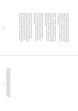hermit on Inner Farne 1,332 years ago, would return to this coast after spending weeks preaching "far away on steep and rugged mountainsides, which others dreaded to visit". Bede, a reliable Jarrow man, explains that Cuthbert would "tarry in the mountains" – our border hills - not because they were easy but because they were hard: they were diffcult to get to, cut off and dangerous.

Perhaps our sandcastles – bringing the mountain down to the beach – pay a kind of homage to Cuthbert. He was, after all, a man of many miracles. In monasteries at Coldingham and Lindisfarne, Cuthbert appeared to disappear every night. The other monks couldn't understand where he went. One night a particularly curious novice crept after him and this, says Bede, is what he saw:

Spying in the dark, this monk watched astonished as Cuthbert walked neck deep into the sea and spent the dark hours of the night "watching and singing praises to the sound of the waves." When daylight came sea otters came out of the water with him and dried his feet with their fur whilst he blessed them.

Small miracles are the best miracles. One can almost believe in them. Maybe no otters will come and dry our feet but we can bring some of the world's most distant and beautiful mountains to this beach. Here, briefy, Kilimanjaro, Stromboli, Fuji, Shasta and Uluru can circle round each other, collide and safely explode. Anything can happen; at least anything that is small and made of sand: it's geography unleashed and, perhaps, it's also a summoning of friends.

> Alastair is Professor of Social Geography at Newcastle University. His most recent books are *Beyond the Map: Unruly Enclaves, Ghostly Places, Emerging lands and Our Search for New Utopias and New Views: The World Mapped Like Never Before.* Previous titles include *Off the Map, What is Geography?, The Idea of the West* and *How to Argue.*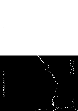*On Margate Sands* by James Attlee

Turner Contemporary, Kent

August 11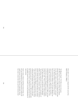*Every object, if it is art, is charged with the rush of time.* Robert Smithson, 1968[1]

"On Margate Sands", T.S. Eliot wrote in his poem *The Waste Land*, "I can connect nothing with nothing". He had come to the town in 1921 to recuperate from what his wife called "rather a serious breakdown" and stayed at the Albermarle Hotel in Cliftonville. He was not the frst to arrive here seeking a cure, of course: Margate was early in promoting seawater, applied either internally or externally, as the remedy for a wide variety of ills; when the Royal Sea Bathing Hospital opened in 1796 it was said to be the frst centre for orthopaedic treatment in Britain, perhaps the world. "There is no disease without antidote", wrote John Anderson, an early director of the Hospital. "Sea-bathing comprehends in it the powers and qualities of fuidity, gravity, pressure, attraction, repulsion, stimulation, friction, attrition and velocity".[2] And there was nowhere better to practice it than Margate: it was the town's beach, "a fne, level, sandy shore, defended from the furious blasts of Boreas and the foaming waves of Neptune, by the pier, promontories and rocks" as a writer in 1801 described it,[3] that attracted visitors, travelling frst by stagecoach and then by paddle-steamer from London, in an early manifestation of mass tourism.

Sand, it seems, releases something in human beings. Any fve-year-old deposited on a beach and given a bucket and spade becomes an artist. Otherwise respectable citizens have only to remove their shoes and feel it between their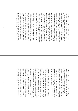toes before they tear off the rest of their clothes and run screaming into the frigid waves. In this liminal space – revealed and then covered again by the seas that lap at our tidal islands – different rules apply: temporarily released from the task of keeping watch on our screens we are free to appreciate the temperature, texture, odours and wind-speed of the present. But what does sand mean to artist Katie Paterson as a medium? In direct contrast to Eliot's depiction of the alienation and fragmentation of modernity, her work seeks to connect everything to everything: more specifically, to build a bridge between the brief ficker of a human life and the immeasurably vast and slow chronologies of geology and space. Whether she is planting a forest outside Oslo to provide paper for a library – the contents of which will only be revealed a century from now; giving gallery goers a phone number to ring so they can listen to the sound of a glacier dripping as it retreats in the face of global warming; or broadcasting a minute of ancient darkness that dates from 13 billion years ago on cable TV[4], her raw material is time, and nothing embodies the effects of time like sand.

The earth's crust is subject to continual erosion by rain, wind, heat, cold, rivers and streams as well as the effect of tectonic processes like earthquakes and volcanoes. Over many thousands of years, mountains and hills are broken into fragments and washed down watercourses to the sea. There, quartz, mica and silica mix with the skeletons of crustaceans, chalk battered from cliffs by the waves, sea shells and other organic sediments which, when bound by the right proportion of seawater, become the perfect building material beneath your feet, while also signifying the disintegration of all things. The artist Robert Smithson used sand to illustrate what he called the irreversibility of eternity. "Picture in your mind's eye (a) sandbox divided in half with black sand on one side and white sand on the other" he wrote. "We take a child and have him run hundreds of times clockwise in the box until the sand gets mixed and begins to turn grey – after that we have him run anti-clockwise, but the result will not be the restoration of the original division, but a greater degree of greyness and an increase of entropy".[5] It should be no surprise that one of Paterson's so-far unrealised *Ideas* series is for "A beach made with sand from hourglasses".[6]

 "Look on my Works, ye Mighty, and despair", reads the inscription on the statue of Ozymandias in Shelley's poem of the same name; but the sculpture itself, the poet tells us, is "half-sunk" in the sand, and of the empire of the King of Kings "nothing beside remains". On the beach, we are all Ozymandias; life itself is a brief interlude between two tides. Lift a handful of sand, let it slip between your fngers and contemplate the eons that have passed, the civilisations that have risen and crumbled away before time milled it to this fneness. It drifts and obscures, burying crops, grazing land, cities and entire civilisations; yet sometimes it shifts to reveal what has been lost. On Margate beach, at low tide, one evening in late September, I notice a solitary man following the course of a stream of seawater down to the waves, sweeping it with a metal-detector. He has, it turns out, been studying the behaviour of sand at Margate for decades, relying as much on his ability to read its movements as on his electronic device: over the years he has found Georgian silver, numerous rings, Roman coins and a fat gold chain worth hundreds of pounds.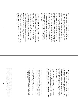These treasures reveal something of the history and character of the site of their discovery. In neighbouring Walpole Bay, for instance, the gold dropped on the beach is 18 carat; while in in Margate itself it is only 9 carat, demonstrating the social stratifcation among seaside resorts that began centuries before Dreamland opened, or Mods and Rockers jousted on the beach. "Belgrave Square retires to Brighton" a writer in Punch explained in 1842, "while the Shambles of Whitechapel seek the shingles of Margate". By the early 20th century, Eliot merely had to use the phrase "Margate Sands" to evoke a mental image of holidaymaking his readers may have considered a trife vulgar. Yet the town was not short of aristocratic recommendations: after recovering from an operation at the resort in 1906, the Marquess of Salisbury was moved to give "another testimonial to Doctor Margate. The air of Margate is the fnest in England".

As well as air, the town had sand, and sand, at least in part, is mountains ground in the jaws of time. Katie Paterson asks us to turn back the geological clock and resurrect giants from the end product of their erosion. The summits we fashion will include some of the greatest engines of tectonic change on the planet: the volcanoes Kilimanjaro, Mount Shasta, Mount Fuji and still-active Stromboli, as well as the mysterious inland island of Uluru, in central Australia, formed of the sand run-off from long-vanished escarpments. Venerated as well as feared, worshipped since mankind's beginnings, these monuments too will be worn down and scattered, dispersed in the desert or on the shore – if, that is, they do not awaken frst in large-scale eruptions, shattering themselves in the process.

On Margate Sands, Paterson casts us as magicians, able to set eternity running in reverse: yet even here our efforts are at the mercy of forces larger than ourselves. We know that in a matter of hours our work will vanish – the moon's gravity will draw in the ocean and our creations will meet the fuidity, gravity, pressure, attraction, repulsion, stimulation, friction, attrition and velocity John Anderson has told us seawater possesses.

Perhaps connecting to the immutable and vast processes to which we are all subject is a way of reconciling ourselves to them. In the collaborative creative act, as we construct mountain ranges the like of which the world has never seen, for a few moments at least we step outside time.

- 1. A Sedimentation of the Mind: Earth Projects.In: Jack Flam (ed) *Robert Smithson: The Collected Writings,* (Berkeley: University of California, 1996), p. 142.
- *2. A preliminary Introduction to the act of sea-bathing; wherein is shewn its nature, power and importance; with some necessary hints for the attention of visiters, at the watering places, previous to, and during a course of sea bathing,* by John Anderson, M.D., a Physician to and Director of the Royal Sea Bathing Infrmary at Margate, 1795.
- *3. The New Margate, Ramsgate & Broadstairs Guide,* 1801.
- 4. Katie Paterson, The Future Library, 2014-2114; *Vatnajökull (the sound of)*, 2007-2008; *Ancient Darkness TV*, 2009.
- 5. RobertSmithson, A Tour of the Monuments of Passaic, New Jersey,In: 1968, Jack Flam (ed)*Robert Smithson: The Collected Writings,* (Berkeley: University of California, 1996), p. 74
- 6. Katie Paterson, *Ideas*, 2015.

James is a writer based in the UK. His books include Guernica: *Painting the End of the World* (2017), *Station to Station*, (2015) shortlisted for the Stanford Dolman Travel Book of the Year Award, *Nocturne: A Journey in Search of Moonlight* (2011) and *Isolarion: A Different Oxford Journey* (2009). His digital fiction *The Cartographer's Confession* won the New Media Writing Award 2017. His journalism has appeared in publications including *The Independent, Frieze* and *London Review of Books*.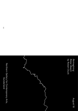*Reimagining Roker Beach* by Robert Duck August 18

120 **120 Sunderland** Northern Gallery for Contemporary Arts,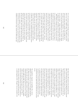It is a hot and sunny August Sunday; the beach is crowded; there is no "roke" at Roker today. The golden sand is frm, warm and enticing; grains sparkle in the sunlight (all of this might need some imagination). This beach has been a source of fun and entertainment for over a century. People are at their leisure – sitting, walking, and playing, children are digging holes and building sand castles, kites are fying – Roker Beach is buzzing; it is alive with activity and fun. It is a paradise for sand castle builders. Yet how many of the people enjoying the sea air and the noise of the waves breaking have ever asked themselves the simple question – "where does the sand come from"? First, take a close look at the beach, especially close to Roker Pier on its northern side and at the foot of the sea wall where they have been tossed up by waves. It isn't all made of sand – there are lots of pebbles and cobbles. Many of these coarse fragments are a creamy, buff colour. They have been eroded from the local cliffs which can be seen at, for instance, Roker Ravine. The rocks here are bedded limestones of the Magnesian Limestone. They are of Upper Permian age and are about 240 million years old. The limestones contain not only calcium carbonate but also calcium magnesium carbonate – or dolomite. They were originally formed beneath the waters of the western side of what geologists call the Zechstein Sea (Zechstein is a German term for "tough stone"). Its warm waters, then located close to the equator, teemed with marine life and extended from the east coast of northern England right across northern Europe and into Poland. At the top of the cliffs, above the light-coloured rocks and often obscured by vegetation, is a brown, stony soil called till. This was laid down by ice when this area experienced the freezing conditions of the last Ice Age, around two million years ago.

But today these cliffs and the Lower Promenade from Roker towards Parson's Rocks and Whitburn are protected by a sturdy sea wall that dates back to Victorian times. This prevents the sea from eroding the local rocks but, in so doing, depletes the natural supply of particles to the beach. Coastal erosion is often given a bad press but, quite simply, if there were no erosion there would be no beach and therefore no pleasure! There are other pebbles too – much darker in colour. These have probably come from far away, some transported by ice but others as ships' ballast and then dumped. Pieces of brick and masonry are also present; these are the remains of long-gone industries. Together with the exotic ballast fragments they are a reminder of just how important nearby Sunderland once was as a port. Forty years ago you could also have picked up pieces of coal from the beach, when the mining industry was still active; but today these have all been either collected for burning or washed away by coastal currents. Much of the fner sand grains are derived from glacial deposits and have been carried here from far afeld when the North Sea was covered by ice.

The magnifcent, elegantly curving Roker Pier, with its lighthouse at the end, is an icon. It was badly damaged by the "Beast from the East" in February 2018 but the granite blocks that make up this mighty triumph of engineering have withstood repeated attacks from the sea since it was built between 1885 and 1903. Why are there so many pebbles, cobbles and a build-up of sand against the pier? This is because the dominant direction of transport of sediment in the area is from north to south along the beach face; the so-called longshore drift. Though it was not intended to do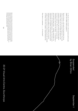so, the pier acts as a barrier to this movement and the sand, pebbles and cobbles build up against it.

North of the pier, at the back of the beach below the sea wall are some low rocky outcrops of limestone. If you look carefully at these you can see shapes like spheres a few centimetres in diameter and cavities from which spheres have been eroded out. This is a rare and unusual rock, world-famous, and, because the spheres – or concretions to give them their proper name – resemble cannon balls, it is known as the Cannonball Limestone. The concretions grew progressively over hundreds of thousands of years around individual nuclei, pebbles or bits of shell, as a result of complex chemical reactions involving salt and other minerals on the foor of the warm, shallow, tropical Zechstein Sea.

First there is a mountain; ……….. Or was there?

*Suspended* by Brian Dillon

# September 1

Robert is Emeritus Professor of Environmental Geoscience at the University of Dundee where he was Dean of the School of the Environment for nine years prior to taking early retirement in 2015. An expert on coasts and estuaries, he has made a career-long commitment to furthering the public understanding of science and climate change. He is the author of *'This Shrinking Land: Climate Change and Britain's Coasts'* (2011) and *'On the Edge: Coastlines of Britain'* (2015).

# 20-21 Visual Arts Centre, Scunthorpe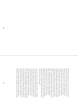How small, how fragile can a work of art be before it drifts away on the wind or foats out to sea? And how large, or long-drawn-out, before we are unable to apprehend it all at once? Katie Paterson is an artist who answers these questions in the same breath  $-$  she pictures the furthest reaches of the earth, even of the universe, and asks us to imagine the smallest speck, or span, of space and time. Her materials include the light of heavenly bodies, the sounds of creaking glaciers and dying stars, the tiniest grain of sand added to or taken from the vastness of the Sahara. In *First There is a Mountain*, Paterson has made a nested set of sand pails, modelled after fve famous mountains: Kilimanjaro, Shasta, Fuji, Stromboli and Uluru. Imagine that these mountains, from far-fung corners of the world, have all appeared together on the beach at Cleethorpes, multiplied along the coast, sprung up all round the edges of the UK. An experiment (or is it a game?) with the earth's scale is under way, but will very soon disappear.

The coast is a place where things come and go – especially a coast like this one, where a third of the estuary is exposed at low tide. One ffth of the land surface of England drains eventually into the Humber, and with all this water comes sand and sediment, detaching itself, as elsewhere in the world, from the highest mountains, but also from slopes, plains and riverbanks. This is just a fraction of what ends up in the estuary; along the Holderness coastline the cliffs erode and are washed down into the Humber. Still more material comes from the North Sea. In fact, around six million tonnes of sediment enters the estuary each year. The tides take most of it away again, but things are not so simple. Above and below the surface, sandbanks swell and shrink; currents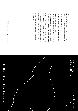twist and turn; ports and channels silt up and need to be dredged clean; sand is thrust onto the beach, scooped out or blown away, and must be replaced. Everything is on the move; whole mountains have been arriving and departing regularly since the last Ice Age.

Still, Paterson's mountainous archipelago is an apparition of another sort. The seashore is also the scene of historical surprises, magical or monstrous sights. In March 1870 the schooner Clio, which had sailed from Lowestoft, was washed ashore without a soul on board. In September 1956 a large round object 80 feet in diameter hovered off the coast from Cleethorpes one afternoon; when RAF planes approached, it was reported, the UFO sped away. Other curious arrivals on the shore: a cargo of French onions, a monstrous squid with a beak like a parrot's, several thousand starfsh, a message in a bottle predicting the end of the First World War. Stand on the beach for long enough and the world will wash up, in the shape of a miracle or catastrophe. The beach is made of mountains, the mountains were once the foor of the sea, and the earth, as Katie Paterson reminds us, is still saturated with surprises.

*Studland Bay* by Tristan Gooley September 15

Brian's books include *Essayism* (2017), *The Great Explosion* (2015) and *Objects in This Mirror: Essays* (2014). He is UK editor of *Cabinet*, a quarterly magazine of arts and culture based in New York.

# 128 129 The National Trust at Shell Bay, Dorset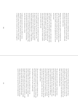The lane that led down to Studland Bay was lined with dogwood red, but the beach had a more austere palette. A pair of black crows pecked at dark seaweed, as white gulls hovered above broken waves.

Stepping over a stream I saw a pattern I recognised in the sand. The rainwater had fowed down from the hills to rejoin the sea, but not before etching rill marks into the beach. There were tendrils, tentacles and upside-down trees carved into the sand.

I pulled my jacket collar higher, against a cold onshore wind that toppled the waves. Each plunging crest nudged the foam higher up the shore. By my feet, the water sank down and then the bubbles appeared. I looked a little higher up the beach and there were the pinholes, tiny dark holes formed when sinking water pushes air back up, creating countless microscopic tunnels in the sand.

In more sheltered spots the cold vanished and I was hugged by a surprise warmth; it was a hat-on, gloves-on, hatoff, gloves-off kind of day. Old patterns were soon joined by familiar sounds and I rejoiced in the happy racket of halyards slapping against dinghy masts. A single stubborn oak joined me in celebrating the fresh air, reaching its arms out to the sea, showing off jewellery of golden lichens. This one determined tree still held its leaves in late November, most the other trees had beaten a retreat.

I walked past memorials to fears of a different retreat. The Dragon's Teeth are solid, pointed stone emplacements designed to stop a German tank assault. I found it hard to imagine that fear of attack now, as the wind tugged at

the National Trust's bright fags and boards with cheery colours proclaimed the virtues of the café's ice cream. But all coastlines are confict. Where land meets sea there are the battles of perfect surf and violent erosion, sharp air and shelter, tourism and locals, sweet ice-cream and bitter litter, happy wet dogs and glistening turds…

The dog tracks were not all the same. Letting my knees drop into the soft ground, I noticed how some dogs kicked back the sand and others left cleaner, neater prints. And then, with the childlike joy that always accompanies these moments, I appreciated the story within the differences. The dogs that left the tidy prints had run over sand still wet from retreating waves, those that ran over drier sand left the prints with scattered sand. I was looking at a timeline: the tidy dogs were those with early-rising owners, they had come this way a couple of hours earlier, when the tide was higher and the sand wetter.

This new micro-story encouraged me to sharpen my focus. Patterns emerged in seaweed, in waves, in lines of geese that few fast and low, in the sky. The sun sliced open the clouds and lit patches of grey sea with a turqoise lamp.

Past Old Harry's Rock, the sea boiled, these were the dreaded overfalls: when currents pass over a rough seabed, the water is kicked into angry confusion. I had sailed through these savage waters once, just for the hell of it. And hellish it was. Mugs smashed and this young man reminded himself what danger felt like and inched again through reckless follies towards maturity. That young man became a parent fourteen years ago and has had enough maturity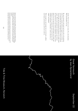already. Now he wants an ice-cream. No, a hot chocolate. With marshmallows on top.

My eyes returned to the beach and were alive to the glorious detail. Every anomaly tickled and tugged at my curiosity. It was impossible that the small depression could go unnoticed. The last high tide had breached the defences of a child's brief empire. Waves had smashed the battlements and reduced the sand fortress to the meekest undulations. Like an aerial photo of an iron age fort, the ironed bumps were feeble and fabulous at once. I saluted the parent that had their child building sandcastles in November. Look on that love, ye mighty, and despair!

With enough love and enough time on the beach, conficts earn beauty and maturity need never catch us.

Tristan is an author and natural navigator. Tristan set up his natural navigation school in 2008 and is the author of the award-winning and bestselling books, *The Natural Navigator* (2010), *The Walker's Guide to Outdoor Clues & Signs* (2014), *How to Read Water* (2016) and *Wild Signs and Star Paths* (2018), some of the world's only books covering natural navigation.

Tristan has appeared on TV and radio programmes in the UK and internationally, including The Today Programme, Night Waves, Countryfile, BBC Stargazing Live, Country Tracks, Ramblings, Open Country, Shipwrecks, The One Show and All Roads Lead Home.

*Great Yarmouth* by Jean Sprackland

# September 22

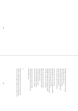1

Past Buddy's Beach Shack and down to the place where Nelson's jetty used to be – where the pleasure-boats would dock and their passengers, queasy and sprayswept, got their frst taste of Yarmouth air. You can step off the edge of the world here

then fnd your feet on fne clean sand licked smooth as ice-cream. Dreamscape of pebbles where the spun foam snags and clings shivering in the wind. Snow-feck and blood-speck. Combings of bladderwrack, cuttlefish, razorfish, torn feathers of gull, tern and guillemot.

What can this place know of mountains? Dead level. Flat out. North Sea a sheet of hammered tin. And yet here and there piercing the surface a grey-green clump of grass, a pioneer, where the spun sand snags and clings

and grain by grain and gust by hard gust under the gull-scream and the bone-white sky the dune begins to rise.

### 2

Mounted on posts along the front, a row of cameras tilt and focus, scanning the beach and the sea. Ghosts ficker over the lens: buss, lugger, ventjager, the trawlermen who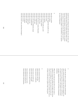hauled the silver darlings that made this town. Out there, the half-forgotten places: Caister Shoals, Barley Pickle, Cockle Gateway, Yarmouth Roads. On Scroby Sands, the turbines come and go in the mist and murk, like pilings sunk for a series of imaginary bridges: a wild ambition, a race against the clock of rising tides.

#### 3

Stone like an anchor stone like a kidney stone like the chipped blue handle of a cup stone like a pearl stone like a spyhole stone like a grin with hardly any teeth stone like a cottage window stone like a slice of pie stone like the forest in a book of fairytales stone like a zipped purse stone like a wolf's paw stone like a full moon behind the clouds stone like a smashed bulb stone like a burst star stone like a ripped page stone like a ripe pear stone like a longboat stone like a bruise stone like a heart with a hole blown through it

#### 4

Under the pier there's a heap of cinders and fish-heads where someone has kindled a fre and then stamped it out. You'd be out of range of the cameras here, could hole up for weeks if you're careful, in this splinter-zone of struts and pipes, slaughtered parasols, the bones of abandoned deckchairs.

When the end-of-the-pier goes dark, the sea's noise is hushed to a music that reminds you of nights under the low blue roof of childhood. You come and go in the mist and murk of a dream. An incoming wave considers the stone in its hand. A soft clack as it places it like a chess piece.

# 5

Some seaweed is fshing line. Some seaweed is old rope. Some seaweed is toothbrush.

Some stones are bottle tops. Some stones are ring-pulls. Some stones are spent freworks.

Some driftwood is house-brick. Some driftwood is polystyrene. Some driftwood is dead porpoise.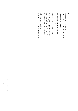6

What can this place know of mountains? Dead level. Flat out. It knows estuary, spit, sandbank. It still remembers the plains and marshes of Doggerland. But *mountains*?

You can step off the edge of the world here, between the beat and glare of the Pleasure Beach and the North Sea tide with its guttural sentences of invasion and retreat. But here

the grey-green pioneers have staked their claim. Here where the spun sand snagged and clung, grain by grain and gust by hard gust, they build their slow green ranges of sedge and marram.

Ragwort seedhead shivering in the wind. Blue scrap of sheep's-bit scabious. Track and scrape and scat. Here, under the gull-scream and the bone-white sky, the dunes are rising.

> Jean has published five poetry collections, most recently *Green Noise*, and was the winner of the Costa Poetry Award in 2008. She is also the author of *Strands: A Year of Discoveries on the Beach*, which won the Portico Prize for Non-Fiction in 2012. Jean is Professor of Creative Writing at Manchester Metropolitan University, and Chair of the Poetry Archive. She lives in London.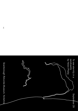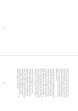Someone once tried to explain the concept of infnity to me by saying that if an eagle few past a mountain every million years and touched it lightly with its wingtip, by the time the mountain had crumbled to nothing, that might equate to one second of forever. This still does not grasp the vast reality of eternity, but does help our mortal and time-bound minds to gain some insight into the nature of the universe and our incidental place within it.

The world began on 23 October 4004 BCE, according to the Archbishop of Armagh and Primate of All Ireland, James Ussher in 1650, who worked this out by adding up all the documented ages of key people in the bible.<sup>1</sup> The planet is now believed to be at least 4.6 billion years old, in part due to research undertaken into the cliffs on this beach by John Phillips (1800-1874), the frst keeper of the Yorkshire Museum in York. Nicknamed the dinosaur coast, this 40 mile stretch of coastline, from Sandsend in the north to Filey in the South, is embedded with fossils that date back up to 200 million years, from a prehistoric age when Scarborough was a sub-tropical home to the abundance of life at that time.

John Phillips was orphaned at the age of seven and brought up by his uncle, William Smith, who was known as the Father of English Geology and had created the frst geological map of Great Britain in 1815. Following in his uncle's footsteps, Phillips also became a highly respected geologist whose signifcant contributions include Illustrations of the Geology of Yorkshire, published in two volumes in 1829 and 1836. Crucially, Phillips built on his uncle's investigations into rock strata and associated fossils to read the different geological eras of the planet.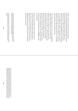Phillips was part of an important and ongoing debate between scientists and the church about the age of the earth following the publication of *On the Origin of Species* by Charles Darwin in 1859. Darwin challenged the church's calculation that the earth was 6,000 years old, saying that it was at least 300 million. Phillips used geological evidence to argue against Darwin's "abuse of arithmetic" to claim that the planet was one billion years old.2 This was an incredibly radical proposition, but one ahead of its time.

On the beach at Scarborough, with the actual and imaginary weight of history holding up the earth behind it, Katie Paterson invites us to make scale versions of five of the earth's mountains. *First There is a Mountain* takes place around the British coast this summer and beautifully illustrates the artist's rare ability to encourage us to appreciate the profound in the detail – the Sahara desert, for example, now being home to the "tiniest grain of sand", which the artist had chiselled down to 0.00005mm using nanotechnology.

Formed in minutes, present for hours, then returned to the sea by a tide that ebbs and fows without a sense of past or future, the sandcastles that form *First There is a Mountain* represent a microcosm of existence and make us fundamentally more aware of the life cycle of the mountain, of the planet, of ourselves.

1. James Ussher (1650) *Annals of the Old Testament, deduced from the first origins of the world, the chronicle of Asiatic and Egyptian matters together produced from the beginning of historical time up to the beginnings of Maccabees.*

*2. Joe D Burchfield (1974) Darwin and the Dilemma of Geological Time. Isis, Vol 65, No. 3, The University of Chicago Press on behalf of The History of Science Society, pp. 300-321.*

Helen is the Head of Curatorial Programme at Yorkshire Sculpture Park, an international centre for modern and contemporary art set in 500 acres of historic parkland, four galleries, and an 18th-century chapel. Her offsite projects include *A Place in Time* (2016) at NIROX Sculpture Park in the Unesco Cradle of Humankind, South Africa, and the Kyiv Sculpture Project (2012), the first open-air display of contemporary sculpture in Ukraine.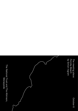*The meeting place: Formby Beach* by Simon Ingram

October 6

The National Trust and The Atkinson, Merseyside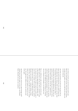At a beach, any beach, you meet the ancient earth's past. Here are the watermarks of eons, where past meets present, one place meets another, and as you walk onto the sands, you can meet them all.

And when you go home, you meet your own past. For me, home was not far away from here. As a child I'd hear this place talked about, but, being a child, I never saw that what I was hearing was what made Formby Beach unique. I heard the details, the strangest differences. Here were red squirrels, not grey ones. Pinewoods near the beach. Purity, close at hand to industry. At low tide, a shipwreck. On a clear day, mountaintops seen over sea. But to me, with the small-eyed, simple-questioned geography of a child (how far was it away, how different were the things in it), Formby was an extension of the familiar, not somewhere new.

But as a child all you really wanted was to feel the sand. Make castles from it. See the sea. Feel it. And there's good in that. Good in just taking things as you fnd them, with the curiosity of instinct. It takes us back to an earlier age, in every sense, our younger selves as people, and as a species. Then you move away, you see other places far from home. My places were mountains – studying, climbing, writing about them. And then as you get older you covet the wonder closer by. You re-fnd a home amidst as much of it as you can. You might have children of your own, and the cycle starts again.

And then you go home, and you see a place through worldwidened eyes, and here again, not far away, was Formby Beach. Beautiful, but more now somehow.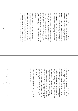This is a great confuence, a meeting of worlds. Stand here and feel the joining of other places, of people, of elements, and of time. Where wind-bent trees meet dune-grass, dunegrass meets sand. Sand meets sea. Sea links lands over water, over which old lands of different sorts look upon from all sides. Wales, Ireland, Cumberland, the old kingdom of Mann – places whose beaches face the beaches that face them. Were there a mountain here the size of the ones over there in Snowdonia, you would see these places lining the horizon's edge, like faces around a table.

Here meets wood with sand. Land with sea. Sea with other lands. There is metal in the cranes of the docks over there, in the wreck-ribs of the *Ionic Star*, in the sand, giving it that colour. Natural attrition is here, too: wind in the stirring of the sands, in the slow spin of the turbines on the horizon. The offshore banks have names that speak of the climate, which is local and strange: Mad Wharf, Angry Brow, Great Burbo. A clear day and cold weather and you can look upon the snow on the Lakeland mountaintops from the snow on this beach.

And here on this beach you join humans from another time. The roots of the frst lifeboat station, now just foundations in the sand. And the traces of much more ancient feet, belonging to the people who found these sands in a time before Stonehenge. What an extraordinary thing to stand in their own step-prints, along with those of deer, boar and crane. Imagine the scene they saw, thousands of years before the people they would become would imagine them, in this place.

Look at the view from a mountain summit and you feel the same joining of elements around you on the horizon. You see it. But in sand you feel it. Its time is deeper. It joins everything and everyone with its story, with a story too ancient for us to understand. Walk down at low tide and feel the grains, fell them grind between your fngers, feel the way they run when dry, and coalesce when wet. Apt that they talk about the "sands of time", sand being the most extraordinary joining place of all. First the volcanoes birthed it, built mountains, millions of years ago. Then water, time, wind, motion brought the mountains back to earth. Broke them to sand. Reduced it, moved it, layered it, built it to rock. Into mountains. Built it, broke it to sand again. Joined it with more from elsewhere, an earth-time of mineral, bone, shell. Washed it into the sea. Then up, into mountains again. Down, into water. Into the sea. Down, into the earth. Then into deep time, and then the cycle begins again. Rock. Sand. Rock. Sand. The motion of time on earth, like the tides. Like breathing. In a time when we are gone, it will make mountains again.

Look forward, look back, look around – and think of the tale of time joining you in your hands, when you make your own mountains here on this beach.

Simon is a journalist and author. Born in Liverpool in 1981, he was the longest-serving editor of *Trail* Magazine and a regular contributor to *The Guardian*'s century-old Country Diary column. He is also the author of *Between the Sunset and the Sea* (HarperCollins, 2015) and *The Black Ridge* (HarperCollins, 2019). He lives in Stamford, Lincolnshire.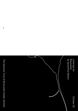*Little Eye for Brancaster* by Samantha Walton October 20

The National Trust at Brancaster Estate, Norfolk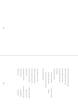If you look closely at any living thing

you'll see the stamp of every other

the tree-forking of the lungs

the way the hand cups water

like the lake

running into the valley

the flesh that breathes sensing sun  $\&$  heat

the curves of the muscle creasing

& then the columns of the heart

rising up like mountains

In the faintest streak of life

the little water bear foats free

in the vacuum life tastes sweet

he swims in wastes of space the kind volcanic fold

cool readiness to be alive the aching for the world

which sees lichen creeping slowly

from the ocean steady lapse

in heat or cold always the same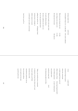| moving in plant-time                                           | $\rm earth\mbox{-}time$ |
|----------------------------------------------------------------|-------------------------|
| extremophile living in ice on soda lakes with cosmic radiation |                         |
|                                                                |                         |
| When the water breaks the rock                                 | it's like               |
| some things were meant to be                                   | it's like               |
| the body knew the mind                                         | like dancers            |
|                                                                |                         |
| Wash your hands in the water clock                             |                         |
| & watch millennia drip by                                      |                         |
| the burn cradled by the rock it cut                            |                         |
| the sea that gnawed the beach                                  |                         |
| pulling the sand far out                                       | & flinging it back      |
| turning stone to shingle to                                    |                         |
| infinite mosaic of crystal                                     |                         |
| a world made vast under a microscope                           |                         |
|                                                                |                         |
| Look closer, you'll see                                        |                         |
|                                                                |                         |
|                                                                |                         |
|                                                                |                         |

| A star                                        | a spiral shell              |  |
|-----------------------------------------------|-----------------------------|--|
| translucent finger of quartz                  |                             |  |
| white disc circled pink                       |                             |  |
| a trefoil snapped from coral reef             |                             |  |
| ribbed column of bone                         | (from long-forgotten fish?) |  |
| oval of black gemstone                        | (a man's thumb-print)       |  |
| zany purple shard                             |                             |  |
| puckered orange ball                          | & all                       |  |
| the shimmering spheres of silica              |                             |  |
|                                               |                             |  |
|                                               |                             |  |
| Today, your mould carves a mountain           |                             |  |
| in miniature (at least from where you're sat) |                             |  |
| but peer inside, you'll find                  |                             |  |
| the finite dust of life                       |                             |  |
| smoothed & jostled by the sea                 |                             |  |
| but not made uniform                          |                             |  |
| never made into the same                      |                             |  |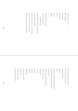a glittering box of tricks fakes of feldspar & mica split & cut from the old lost beloved islands Everything that's ever lived or been carved into form is somewhere still ancient shipwreck dug from the black seas beating wings of dragonfies cartilage clotted in the ear of a Yukon Horse coral reefs lost in heat waves bleached the mountains ground to dusk by glaciers

We can't know what we've found our hands are always sheathed in gloves deadening senseless plastic but know that each grain has been touched & passed through the body of the earth twice (or more) ran over by the weight & pull of sea landed now with you to cycle onwards rise & fall forwards sink & fy outwards without limit to the ends of the earth & round again following its own path carrying its own message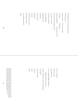| The handprints we're leaving on the earth      |  |  |  |  |  |
|------------------------------------------------|--|--|--|--|--|
| will wash up soon                              |  |  |  |  |  |
| on other shores<br>in time zones strange       |  |  |  |  |  |
| traversing<br>transecting                      |  |  |  |  |  |
| meeting underground<br>or in the heart of rock |  |  |  |  |  |
| the way the sea's junk yard returns            |  |  |  |  |  |
| in a month / in an aeon                        |  |  |  |  |  |
| the bottle on the shore                        |  |  |  |  |  |
| the microspherules                             |  |  |  |  |  |
| nurdling into sand                             |  |  |  |  |  |
| polystyrene                                    |  |  |  |  |  |
| a siren sung by                                |  |  |  |  |  |
| zooplankton                                    |  |  |  |  |  |
| eternally                                      |  |  |  |  |  |
| showing up in liver scans                      |  |  |  |  |  |
| in the blood of whales                         |  |  |  |  |  |
| in the shimmering skin of                      |  |  |  |  |  |
| salmon                                         |  |  |  |  |  |
|                                                |  |  |  |  |  |

| O! to be a mountain                          |
|----------------------------------------------|
| raised by a child                            |
| then washed away                             |
| to be so willingly erased (scraped out)      |
| eroded (gnawed or ate away)                  |
| to make yourself never newly-new again after |
| a sea-change                                 |
| makes you strange                            |
| on future                                    |
| unseen                                       |
| shores                                       |
|                                              |
|                                              |

Samantha is a poet, academic and editor based in Bristol. Her first collection, S*elf Heal*<br>was published by Boiler House Press in 2018, and 'engages passionately with questions<br>of identity, consumerism, gender, and humani Samantha co-edits Sad Press, a publisher of experimental poetry pamphlets and translations. She teaches modern literature at Bath Spa University.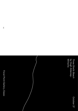*Three Shells Beach* by Hugh Aldersey-Williams

October 27

Focal Point Gallery, Essex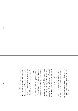If you sail due east from here across three and half degrees of longitude – one hundredth of the way round the Earth – you come in a few hours, or days perhaps, to the shore of the Dutch province of Holland.

A long stretch of sandy beach from the Hook of Holland up to the island of Texel and beyond. In between, the seaside town of Scheveningen with its own pier and its own Kursaal.

A mirror world refected by the North Sea.

'Holland,' wrote the English poet and MP Andrew Marvell, 'scarce deserves the name of land, / As but th' off-scouring of the British sand.' And perhaps it does happen from time to time that some of the sand from Southend makes its way with the tide to be deposited on the dunes of the Holland coast, the mountains of the Netherlands.

In that province of Holland, within sight of Scheveningen beach, Marvell's contemporary, the poet and diplomat Constantijn Huygens, picks up his pen. He looks, and he sees, and he writes: 'The Lord's benevolence shines from every dune.'

Sand. Bright refractions from each silica grain beam the light of the Sun into our eyes. And the sand of the Dutch dunes has indeed shown its benevolence. For it was on this not so distant, not dissimilar coast during the course of the seventeenth century that Dutch inventors and Dutch scientists perfected both the telescope and the microscope, using lenses made from glass made from sand. Macrocosm and microcosm were suddenly made visible.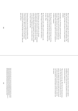Most sand can be used to make glass. But for glass of optical quality, special sand is needed. The right composition. The right size and shape of the grains to be fused together. Sand and glass.

Constantijn's son, Christiaan, and his brother ground their own glass lenses and used them to build their own telescopes. The invention was warmly welcomed by the maritime Dutch. Telescopes might be used for navigation or in military campaigns.

But the Huygens brothers turned their telescopes to the sky, and began to observe the Solar System. Soon, Christiaan was able to detect for the frst time the Ring of Saturn and its moon, Titan.

He observed the poles on Mars and the mountains on the Moon. He began to think about life on other planets…

But Christiaan was a true scientist, not a dreamer. Observing the light refracted by crystals like the sand grains of the Dutch dunes, and inspired perhaps by the restless surface of the North Sea, he proposed a wave theory of light. A wave theory of light more than a century before science was ready to embrace the idea.

Christiaan Huygens also invented the pendulum clock. One of the frst of these he installed in the church tower at Scheveningen. (Before this, time was often kept by measuring the sand running through an hourglass. Sand and glass and time.)

He hoped that sea-going versions of these clocks might be developed in order to solve the age-old problem of mariners' knowing their longitude at sea.

That was many moons ago. More than four thousand moons, in fact. The same moon that raises the tides by the force of gravity, that agitates the sands and shifts them from beach to beach, that grinds the grains for the glass by which we can see the planets. Sand and glass and time and place and the cosmos.

Hugh is a writer and curator. He is the author of the bestselling *Periodic Tales*, a cultural history of the chemical elements, which he later interpreted as an exhibition at Compton Verney. He has also created exhibitions at the Victoria & Albert Museum and the Wellcome Collection. Among his other books are *The Adventures of Sir Thomas Browne in the 21st Century and Tide: The Science and Lore of the Greatest Force on Earth.*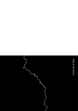Map & Schedule $\mathbf{\hat{r}}$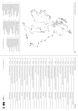

- 1. Whitstable Biennale, Kent (Leysdown Beach, Isle of Sheppey)
- 2. Tate St Ives, Cornwall (Porthmeor Beach) 3. Newlyn Art Gallery & The Exchange, Cornwall (Porthcressa Beach, Isles of Scilly) 4. Glynn Vivian Art Gallery, Swansea
- (Swansea Bay) 5. Artecology & Quay Arts at Hullabaloo, Isle of Wight (Sandown Bay)
- 6. MOSTYN, Llandudno (West Shore Beach)<br>7 Grundy Art Gallery Lancashire Grundy Art Gallery, Lancashire
- (Blackpool Beach) 8. The National Trust & CCA Derry-Londonderry, Northern Ireland,
- in partnership with National Trust (Portstewart Strand)
- 9. The Fruitmarket Gallery, Edinburgh (Portobello Beach)
- 10. Aberdeen Art Gallery & Museums and Creative Learning - Aberdeen City Council, Aberdeen (Ballroom Beach)
- 11. The Pier Arts Centre, Orkney (Walkmill Bay) 12. An Lanntair, Stornoway, Isle of Lewis (Coll Beach)
- 13. Taigh Chearsabhagh Museum and Arts Centre, North Uist (Baleshare Beach) 14. ATLAS Arts, Isle of Skye
- (Glen Brittle Beach) 15. Comar, Isle of Mull (Calgary Beach)
- 16. The National Trust & Berwick Visual Arts, Northumberland, in partnership with the National Trust (Seahouses Beach)
- 17. Turner Contemporary, Kent (Margate Main Sands) 18. Northern Gallery for Contemporary Art,
	- Sunderland (Roker Beach)
- 19. 20-21 Visual Arts Centre, Scunthorpe (Cleethorpes Beach)
- 20. The National Trust at Shell Bay, Dorset, Studland Bay (Shell Bay)
- 21. Tide and Time Museum, Norwich (Great Yarmouth Bay)
- 22. Scarborough Rotunda Museum, Yorkshire (Scarborough South Bay)
- 23. The National Trust and The Atkinson, Yorkshire (Formby Beach)
- 24. The National Trust at Brancaster Estate, Norfolk (Brancaster Beach) 25. Focal Point Gallery, Essex (Three Shells Beach)

↳ www.firstthereisamountain.com

## First There is a Mountain Schedule and Schedule Schedule and Schedule Schedule and Schedule Schedule and Schedule and Schedule and Schedule and Schedule and Schedule and Schedule and Schedule and Schedule and Schedule and

↳ www.firstthereisamountain.com

| 1  | 31/03 | Whitstable Biennale, Kent                                                                           | Leysdown Beach, Isle of Sheppey    |
|----|-------|-----------------------------------------------------------------------------------------------------|------------------------------------|
| 2  | 07/04 | Tate St Ives, Cornwall                                                                              | Porthmeor Beach                    |
| 3  | 14/04 | Newlyn Art Gallery & The Exchange, Cornwall                                                         | Porthcressa Beach, Isles of Scilly |
| 4  | 05/05 | Glynn Vivian Art Gallery, Swansea                                                                   | Swansea Bay                        |
| 5  | 12/05 | Artecology & Quay Arts at Hullabaloo, Isle of Wight                                                 | Sandown Bay                        |
| 6  | 19/05 | MOSTYN, Llandudno                                                                                   | West Shore Beach                   |
| 7  | 02/06 | Grundy Art Gallery, Lancashire                                                                      | Blackpool Beach                    |
| 8  | 09/06 | The National Trust & CCA Derry-Londonderry, Northern Ireland,<br>in partnership with National Trust | Portstewart Strand                 |
| 9  | 16/06 | The Fruitmarket Gallery, Edinburgh                                                                  | Portobello Beach                   |
| 10 | 23/06 | Aberdeen Art Gallery & Museums and Creative Learning -<br>Aberdeen City Council, Aberdeen           | Ballroom Beach                     |
| 11 | 30/06 | The Pier Arts Centre, Orkney                                                                        | Walkmill Bay                       |
| 12 | 07/07 | An Lanntair, Stornoway, Isle of Lewis                                                               | Coll Beach                         |
| 13 | 14/07 | Taigh Chearsabhagh Museum and Arts Centre, North Uist                                               | Baleshare Beach                    |
| 14 | 21/07 | ATLAS Arts, Isle of Skye                                                                            | Glen Brittle Beach                 |
| 15 | 28/07 | Comar, Isle of Mull                                                                                 | Calgary Beach                      |
| 16 | 04/08 | The National Trust & Berwick Visual Arts, Northumberland,<br>in partnership with the National Trust | Seahouses Beach                    |
| 17 | 11/08 | Turner Contemporary, Kent                                                                           | Margate Main Sands                 |
| 18 | 18/08 | Northern Gallery for Contemporary Art, Sunderland                                                   | Roker Beach                        |
| 19 | 01/09 | 20-21 Visual Arts Centre, Scunthorpe                                                                | Cleethorpes Beach                  |
| 20 | 15/09 | The National Trust at Shell Bay, Dorset (Studland Bay)                                              | Shell Bay                          |
| 21 | 22/09 | Tide and Time Museum, Norwich                                                                       | Great Yarmouth Bay                 |
| 22 | 29/09 | Scarborough Rotunda Museum, Yorkshire                                                               | Scarborough South Bay              |
| 23 | 06/10 | The National Trust and The Atkinson, Yorkshire                                                      | Formby Beach                       |
| 24 | 20/10 | The National Trust at Brancaster Estate, Norfolk                                                    | Brancaster Beach                   |
| 25 | 27/10 | Focal Point Gallery, Essex                                                                          | Three Shells Beach                 |